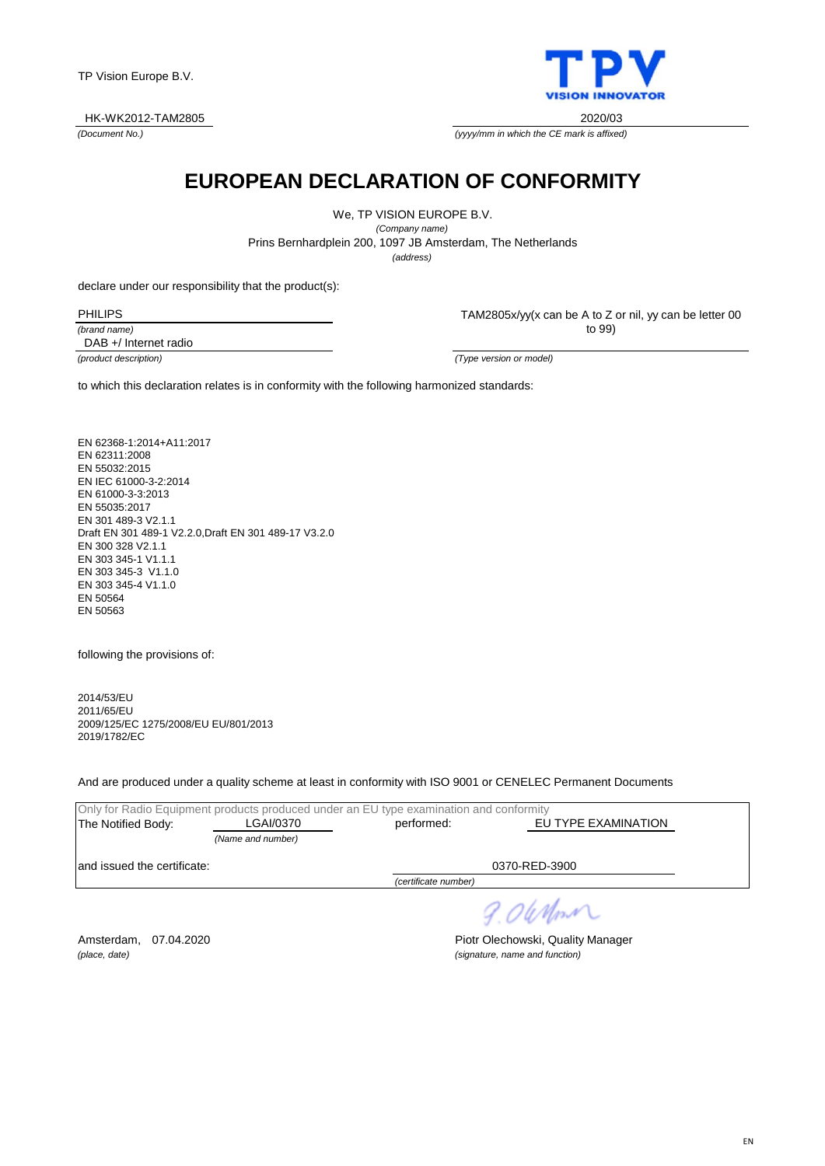

*(Document No.)*



*(yyyy/mm in which the CE mark is affixed)*

## **EUROPEAN DECLARATION OF CONFORMITY**

We, TP VISION EUROPE B.V.

*(Company name)* Prins Bernhardplein 200, 1097 JB Amsterdam, The Netherlands *(address)*

declare under our responsibility that the product(s):

| PHILIPS      |
|--------------|
| (brand name) |

TAM2805x/yy(x can be A to Z or nil, yy can be letter 00 to 99)

DAB +/ Internet radio

*(product description) (Type version or model)*

to which this declaration relates is in conformity with the following harmonized standards:

EN 62368-1:2014+A11:2017 EN 62311:2008 EN 55032:2015 EN IEC 61000-3-2:2014 EN 61000-3-3:2013 EN 55035:2017 EN 301 489-3 V2.1.1 Draft EN 301 489-1 V2.2.0,Draft EN 301 489-17 V3.2.0 EN 300 328 V2.1.1 EN 303 345-1 V1.1.1 EN 303 345-3 V1.1.0 EN 303 345-4 V1.1.0 EN 50564 EN 50563

following the provisions of:

2014/53/EU 2011/65/EU 2009/125/EC 1275/2008/EU EU/801/2013 2019/1782/EC

And are produced under a quality scheme at least in conformity with ISO 9001 or CENELEC Permanent Documents

|                              | Only for Radio Equipment products produced under an EU type examination and conformity |                                   |               |
|------------------------------|----------------------------------------------------------------------------------------|-----------------------------------|---------------|
| The Notified Body:           | LGAI/0370                                                                              | EU TYPE EXAMINATION<br>performed: |               |
|                              | (Name and number)                                                                      |                                   |               |
| land issued the certificate: |                                                                                        |                                   | 0370-RED-3900 |
|                              |                                                                                        | Contificate number                |               |

*(certificate number)*

Amsterdam, 07.04.2020 **Piotr Olechowski, Quality Manager** *(place, date) (signature, name and function)*

9.06 Mont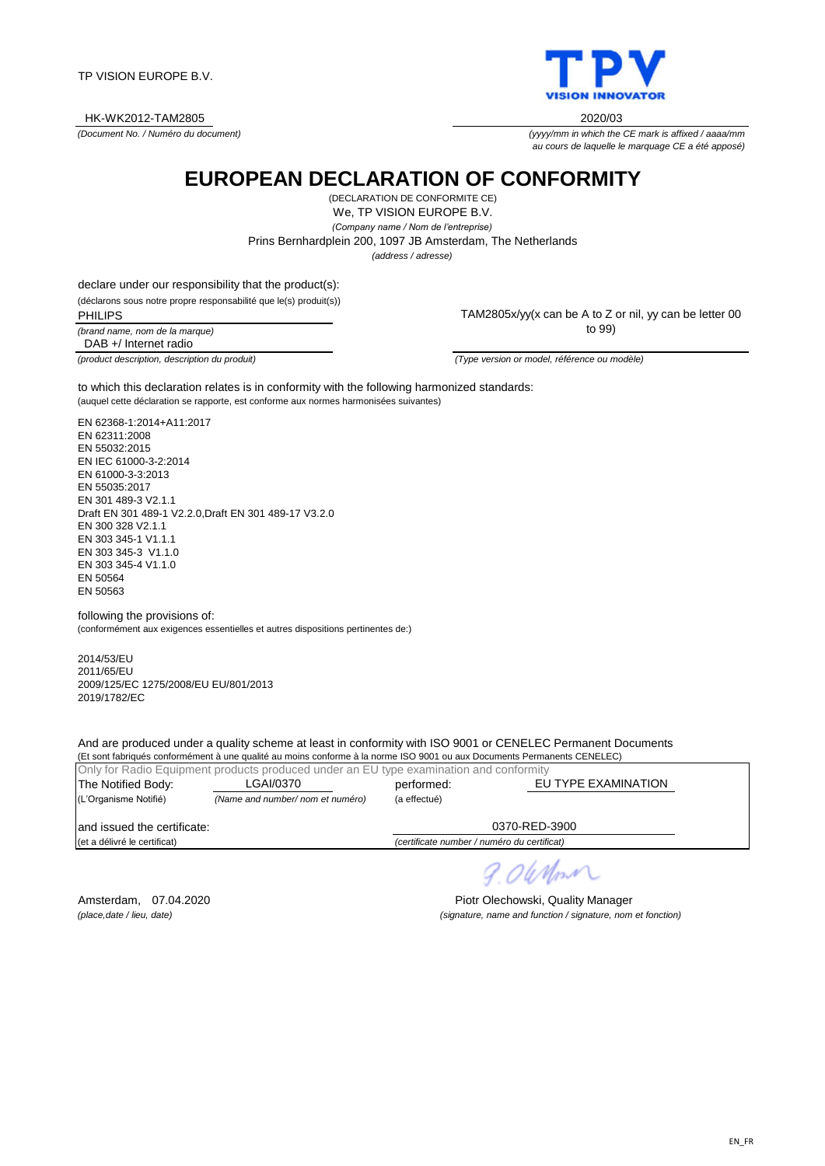TP VISION EUROPE B.V.

HK-WK2012-TAM2805 2020/03

*(Document No. / Numéro du document)*

**EUROPEAN DECLARATION OF CONFORMITY**

We, TP VISION EUROPE B.V. *(Company name / Nom de l'entreprise)* (DECLARATION DE CONFORMITE CE) *(address / adresse)* Prins Bernhardplein 200, 1097 JB Amsterdam, The Netherlands

declare under our responsibility that the product(s):

(déclarons sous notre propre responsabilité que le(s) produit(s))

*(brand name, nom de la marque)* PHILIPS DAB +/ Internet radio

TAM2805x/yy(x can be A to Z or nil, yy can be letter 00 to 99)

(auquel cette déclaration se rapporte, est conforme aux normes harmonisées suivantes) to which this declaration relates is in conformity with the following harmonized standards:

EN 62368-1:2014+A11:2017 EN 62311:2008 EN 55032:2015 EN IEC 61000-3-2:2014 EN 61000-3-3:2013 EN 55035:2017 EN 301 489-3 V2.1.1 Draft EN 301 489-1 V2.2.0,Draft EN 301 489-17 V3.2.0 EN 300 328 V2.1.1 EN 303 345-1 V1.1.1 EN 303 345-3 V1.1.0 EN 303 345-4 V1.1.0 EN 50564 EN 50563

following the provisions of: (conformément aux exigences essentielles et autres dispositions pertinentes de:)

2014/53/EU 2011/65/EU 2009/125/EC 1275/2008/EU EU/801/2013 2019/1782/EC

And are produced under a quality scheme at least in conformity with ISO 9001 or CENELEC Permanent Documents

(Et sont fabriqués conformément à une qualité au moins conforme à la norme ISO 9001 ou aux Documents Permanents CENELEC) Only for Radio Equipment products produced under an EU type examination and conformity The Notified Body: LGAI/0370 berformed: (L'Organisme Notifié) *(Name and number/ nom et numéro)* (a effectué) and issued the certificate: (et a délivré le certificat) *(certificate number / numéro du certificat)* 0370-RED-3900 LGAI/0370 EU TYPE EXAMINATION

Amsterdam, 07.04.2020 **Piotr Olechowski, Quality Manager** 

OUMM



*(yyyy/mm in which the CE mark is affixed / aaaa/mm*

*au cours de laquelle le marquage CE a été apposé)*

*(place,date / lieu, date) (signature, name and function / signature, nom et fonction)*

*(product description, description du produit) (Type version or model, référence ou modèle)*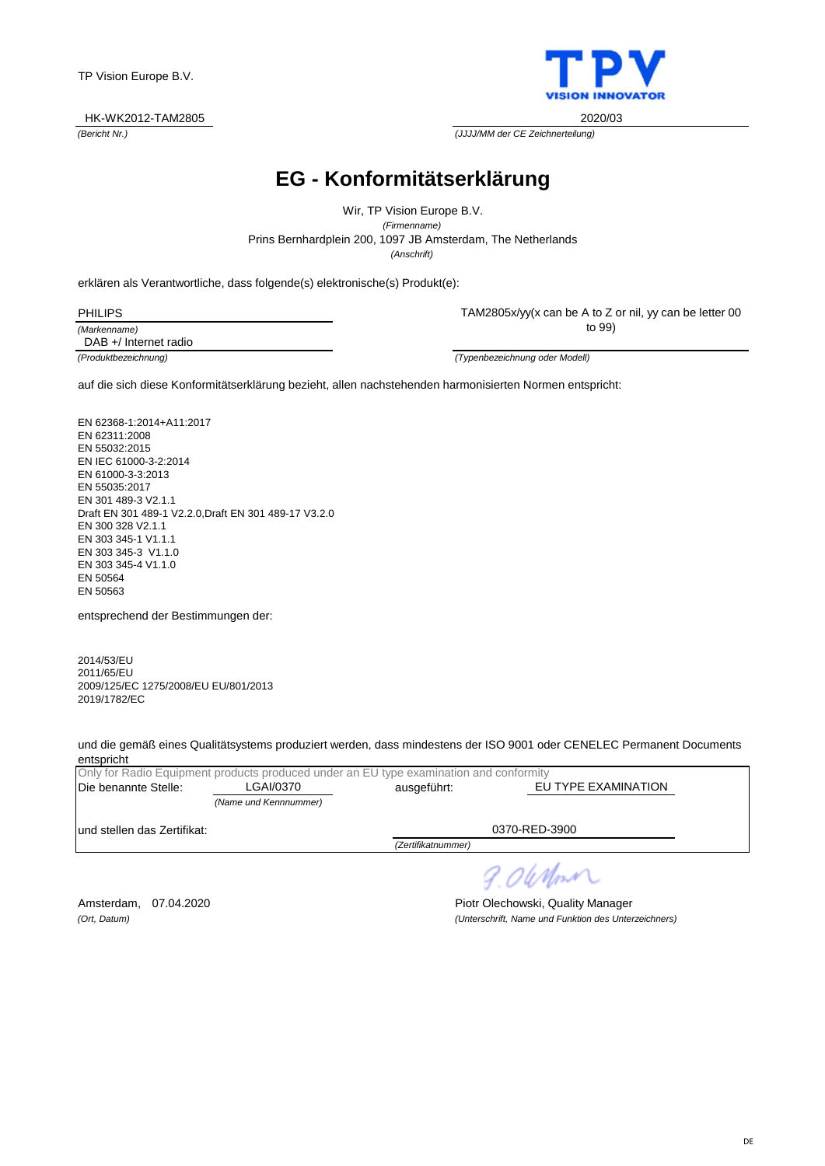

*(Bericht Nr.) (JJJJ/MM der CE Zeichnerteilung)*

## **EG - Konformitätserklärung**

Prins Bernhardplein 200, 1097 JB Amsterdam, The Netherlands Wir, TP Vision Europe B.V. *(Firmenname) (Anschrift)*

|  |  | erklären als Verantwortliche, dass folgende(s) elektronische(s) Produkt(e): |  |  |  |
|--|--|-----------------------------------------------------------------------------|--|--|--|
|--|--|-----------------------------------------------------------------------------|--|--|--|

| PHILIPS      |
|--------------|
| (Markenname) |

TAM2805x/yy(x can be A to Z or nil, yy can be letter 00 to 99)

DAB +/ Internet radio

*(Produktbezeichnung) (Typenbezeichnung oder Modell)*

auf die sich diese Konformitätserklärung bezieht, allen nachstehenden harmonisierten Normen entspricht:

EN 62368-1:2014+A11:2017 EN 62311:2008 EN 55032:2015 EN IEC 61000-3-2:2014 EN 61000-3-3:2013 EN 55035:2017 EN 301 489-3 V2.1.1 Draft EN 301 489-1 V2.2.0,Draft EN 301 489-17 V3.2.0 EN 300 328 V2.1.1 EN 303 345-1 V1.1.1 EN 303 345-3 V1.1.0 EN 303 345-4 V1.1.0 EN 50564 EN 50563

entsprechend der Bestimmungen der:

2014/53/EU 2011/65/EU 2009/125/EC 1275/2008/EU EU/801/2013 2019/1782/EC

und die gemäß eines Qualitätsystems produziert werden, dass mindestens der ISO 9001 oder CENELEC Permanent Documents entspricht

| Only for Radio Equipment products produced under an EU type examination and conformity |                       |                    |                     |  |  |
|----------------------------------------------------------------------------------------|-----------------------|--------------------|---------------------|--|--|
| Die benannte Stelle:                                                                   | LGAI/0370             | ausgeführt:        | EU TYPE EXAMINATION |  |  |
|                                                                                        | (Name und Kennnummer) |                    |                     |  |  |
| lund stellen das Zertifikat:                                                           |                       |                    | 0370-RED-3900       |  |  |
|                                                                                        |                       | (Zertifikatnummer) |                     |  |  |
|                                                                                        |                       |                    |                     |  |  |

9.06 Nm

Amsterdam, 07.04.2020 **Piotr Olechowski, Quality Manager** *(Ort, Datum) (Unterschrift, Name und Funktion des Unterzeichners)*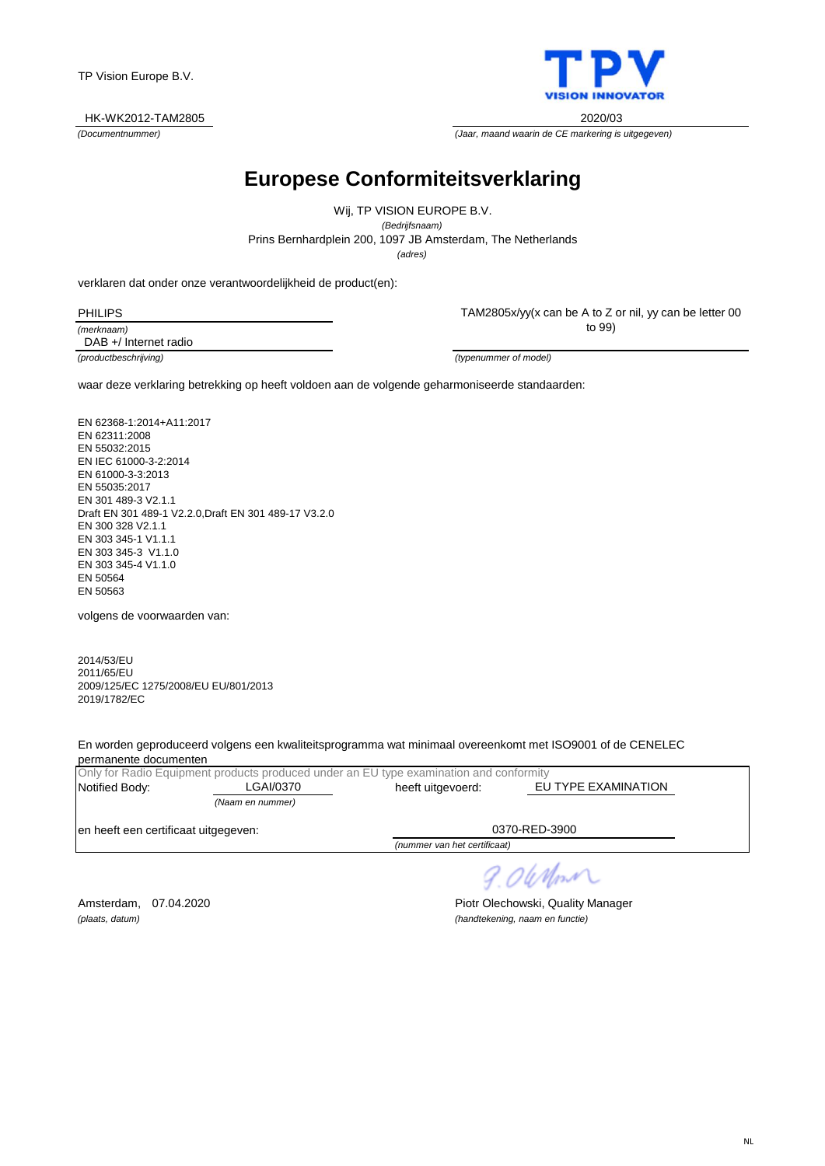

*(Documentnummer) (Jaar, maand waarin de CE markering is uitgegeven)*

# **Europese Conformiteitsverklaring**

*(adres)* Prins Bernhardplein 200, 1097 JB Amsterdam, The Netherlands Wij, TP VISION EUROPE B.V. *(Bedrijfsnaam)*

verklaren dat onder onze verantwoordelijkheid de product(en):

| PHILIPS    |
|------------|
| (merknaam) |

TAM2805x/yy(x can be A to Z or nil, yy can be letter 00 to 99)

*(productbeschrijving) (typenummer of model)* DAB +/ Internet radio

waar deze verklaring betrekking op heeft voldoen aan de volgende geharmoniseerde standaarden:

EN 62368-1:2014+A11:2017 EN 62311:2008 EN 55032:2015 EN IEC 61000-3-2:2014 EN 61000-3-3:2013 EN 55035:2017 EN 301 489-3 V2.1.1 Draft EN 301 489-1 V2.2.0,Draft EN 301 489-17 V3.2.0 EN 300 328 V2.1.1 EN 303 345-1 V1.1.1 EN 303 345-3 V1.1.0 EN 303 345-4 V1.1.0 EN 50564 EN 50563

volgens de voorwaarden van:

2014/53/EU 2011/65/EU 2009/125/EC 1275/2008/EU EU/801/2013 2019/1782/EC

En worden geproduceerd volgens een kwaliteitsprogramma wat minimaal overeenkomt met ISO9001 of de CENELEC permanente documenten

|                                      |                  | Only for Radio Equipment products produced under an EU type examination and conformity |                     |  |
|--------------------------------------|------------------|----------------------------------------------------------------------------------------|---------------------|--|
| Notified Body:                       | ∟GAI/0370        | heeft uitgevoerd:                                                                      | EU TYPE EXAMINATION |  |
|                                      | (Naam en nummer) |                                                                                        |                     |  |
| en heeft een certificaat uitgegeven: |                  |                                                                                        | 0370-RED-3900       |  |
|                                      |                  | (nummer van het certificaat)                                                           |                     |  |

*(plaats, datum) (handtekening, naam en functie)*

9.06 Mont Amsterdam, 07.04.2020 **Piotr Olechowski, Quality Manager**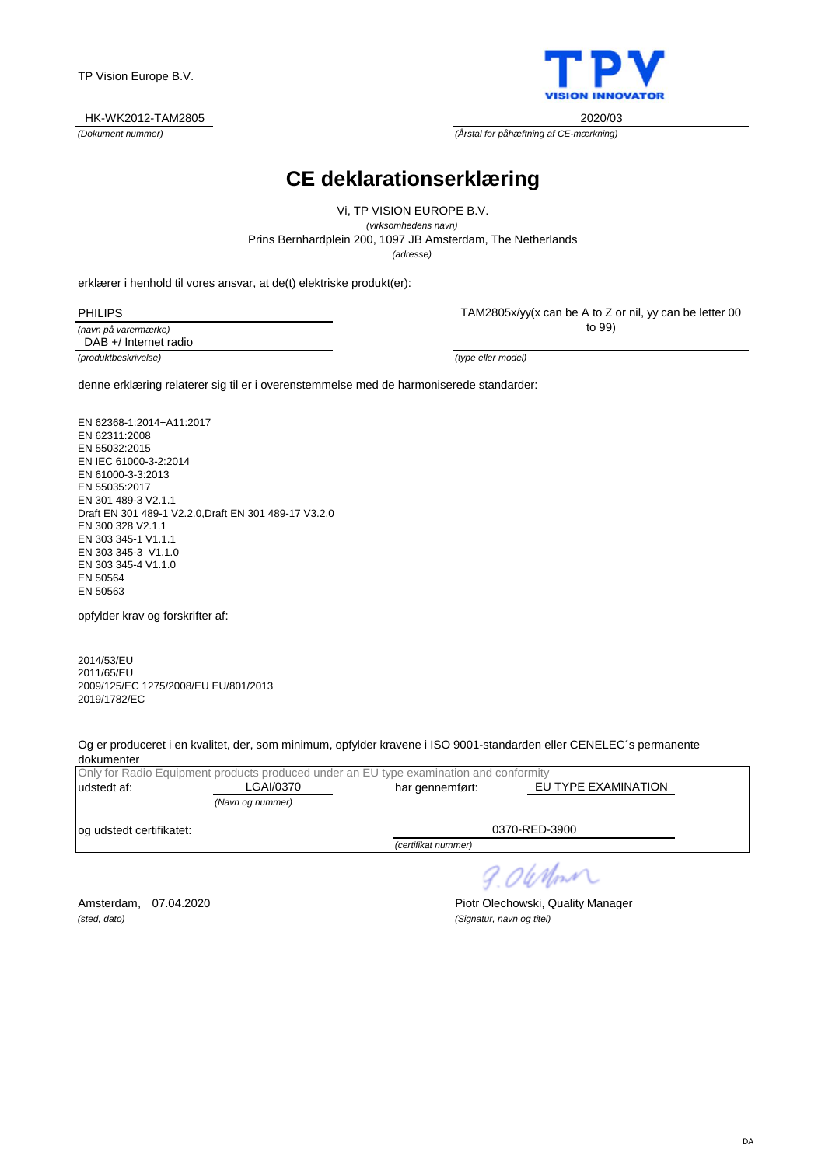

*(Dokument nummer) (Årstal for påhæftning af CE-mærkning)*

## **CE deklarationserklæring**

Prins Bernhardplein 200, 1097 JB Amsterdam, The Netherlands Vi, TP VISION EUROPE B.V. *(virksomhedens navn) (adresse)*

|  |  |  | erklærer i henhold til vores ansvar, at de(t) elektriske produkt(er): |
|--|--|--|-----------------------------------------------------------------------|
|--|--|--|-----------------------------------------------------------------------|

TAM2805x/yy(x can be A to Z or nil, yy can be letter 00 to 99)

*(produktbeskrivelse) (type eller model)* DAB +/ Internet radio

*(navn på varermærke)*

denne erklæring relaterer sig til er i overenstemmelse med de harmoniserede standarder:

EN 62368-1:2014+A11:2017 EN 62311:2008 EN 55032:2015 EN IEC 61000-3-2:2014 EN 61000-3-3:2013 EN 55035:2017 EN 301 489-3 V2.1.1 Draft EN 301 489-1 V2.2.0,Draft EN 301 489-17 V3.2.0 EN 300 328 V2.1.1 EN 303 345-1 V1.1.1 EN 303 345-3 V1.1.0 EN 303 345-4 V1.1.0 EN 50564 EN 50563

opfylder krav og forskrifter af:

2014/53/EU 2011/65/EU 2009/125/EC 1275/2008/EU EU/801/2013 2019/1782/EC

Og er produceret i en kvalitet, der, som minimum, opfylder kravene i ISO 9001-standarden eller CENELEC´s permanente dokumenter

|                           |                  | Only for Radio Equipment products produced under an EU type examination and conformity |                     |
|---------------------------|------------------|----------------------------------------------------------------------------------------|---------------------|
| ludstedt af:              | LGAI/0370        | har gennemført:                                                                        | EU TYPE EXAMINATION |
|                           | (Navn og nummer) |                                                                                        |                     |
| log udstedt certifikatet: |                  |                                                                                        | 0370-RED-3900       |
|                           |                  | (certifikat nummer)                                                                    |                     |

9.06 Nom

*(sted, dato) (Signatur, navn og titel)*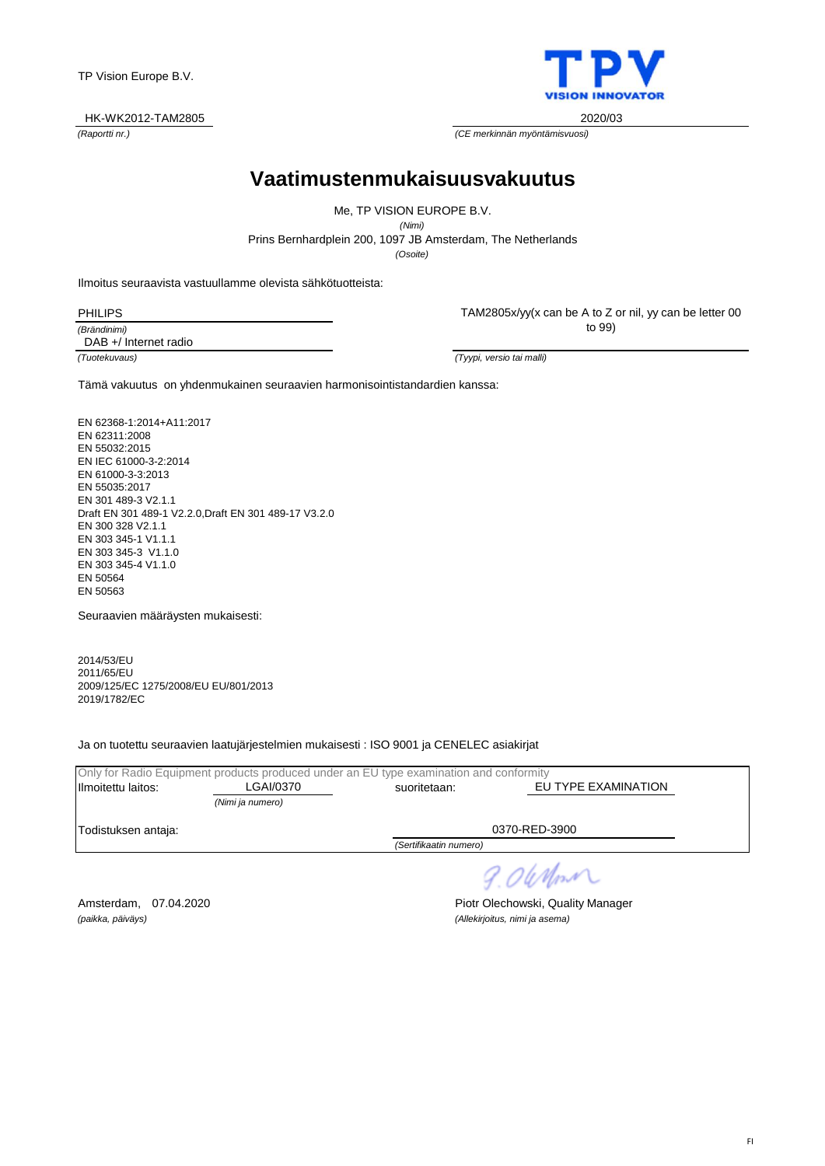#### HK-WK2012-TAM2805 2020/03

**Vaatimustenmukaisuusvakuutus**

Prins Bernhardplein 200, 1097 JB Amsterdam, The Netherlands Me, TP VISION EUROPE B.V. *(Nimi) (Osoite)*

Ilmoitus seuraavista vastuullamme olevista sähkötuotteista:

PHILIPS

*(Brändinimi)* DAB +/ Internet radio TAM2805x/yy(x can be A to Z or nil, yy can be letter 00 to 99)

*(Tuotekuvaus) (Tyypi, versio tai malli)*

Tämä vakuutus on yhdenmukainen seuraavien harmonisointistandardien kanssa:

EN 62368-1:2014+A11:2017 EN 62311:2008 EN 55032:2015 EN IEC 61000-3-2:2014 EN 61000-3-3:2013 EN 55035:2017 EN 301 489-3 V2.1.1 Draft EN 301 489-1 V2.2.0,Draft EN 301 489-17 V3.2.0 EN 300 328 V2.1.1 EN 303 345-1 V1.1.1 EN 303 345-3 V1.1.0 EN 303 345-4 V1.1.0 EN 50564 EN 50563

Seuraavien määräysten mukaisesti:

2014/53/EU 2011/65/EU 2009/125/EC 1275/2008/EU EU/801/2013 2019/1782/EC

Ja on tuotettu seuraavien laatujärjestelmien mukaisesti : ISO 9001 ja CENELEC asiakirjat

|                     |                  | Only for Radio Equipment products produced under an EU type examination and conformity |                     |
|---------------------|------------------|----------------------------------------------------------------------------------------|---------------------|
| Ilmoitettu laitos:  | LGAI/0370        | suoritetaan:                                                                           | EU TYPE EXAMINATION |
|                     | (Nimi ja numero) |                                                                                        |                     |
| Todistuksen antaja: |                  |                                                                                        | 0370-RED-3900       |
|                     |                  | (Sertifikaatin numero)                                                                 |                     |

*(paikka, päiväys) (Allekirjoitus, nimi ja asema)*

Amsterdam, 07.04.2020 **Piotr Olechowski, Quality Manager** 

9.06 Nm



*(Raportti nr.) (CE merkinnän myöntämisvuosi)*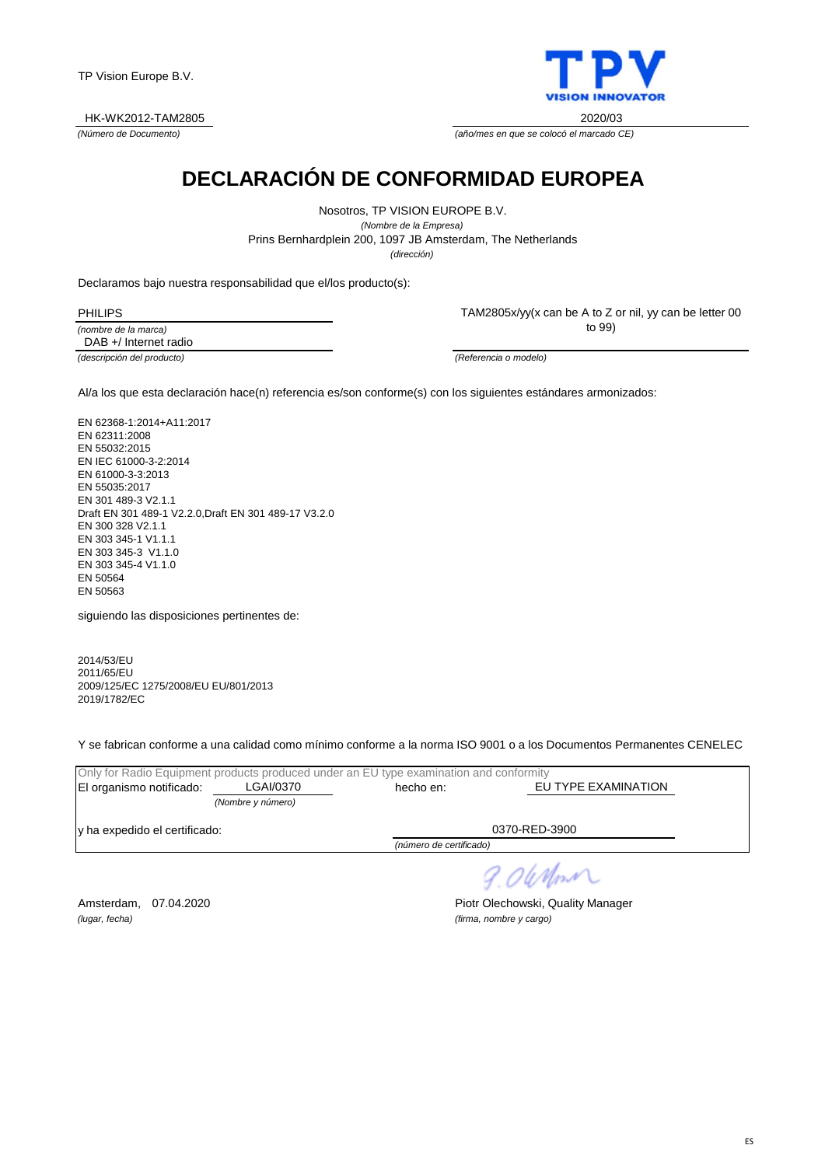



*(Número de Documento) (año/mes en que se colocó el marcado CE)*

## **DECLARACIÓN DE CONFORMIDAD EUROPEA**

Prins Bernhardplein 200, 1097 JB Amsterdam, The Netherlands Nosotros, TP VISION EUROPE B.V. *(Nombre de la Empresa) (dirección)*

Declaramos bajo nuestra responsabilidad que el/los producto(s):

*(nombre de la marca)* PHILIPS DAB +/ Internet radio

*(descripción del producto) (Referencia o modelo)*

TAM2805x/yy(x can be A to Z or nil, yy can be letter 00 to 99)

Al/a los que esta declaración hace(n) referencia es/son conforme(s) con los siguientes estándares armonizados:

EN 62368-1:2014+A11:2017 EN 62311:2008 EN 55032:2015 EN IEC 61000-3-2:2014 EN 61000-3-3:2013 EN 55035:2017 EN 301 489-3 V2.1.1 Draft EN 301 489-1 V2.2.0,Draft EN 301 489-17 V3.2.0 EN 300 328 V2.1.1 EN 303 345-1 V1.1.1 EN 303 345-3 V1.1.0 EN 303 345-4 V1.1.0 EN 50564 EN 50563

siguiendo las disposiciones pertinentes de:

2014/53/EU 2011/65/EU 2009/125/EC 1275/2008/EU EU/801/2013 2019/1782/EC

Y se fabrican conforme a una calidad como mínimo conforme a la norma ISO 9001 o a los Documentos Permanentes CENELEC

| Only for Radio Equipment products produced under an EU type examination and conformity |                   |                         |                     |  |  |
|----------------------------------------------------------------------------------------|-------------------|-------------------------|---------------------|--|--|
| El organismo notificado:                                                               | LGAI/0370         | hecho en:               | EU TYPE EXAMINATION |  |  |
|                                                                                        | (Nombre y número) |                         |                     |  |  |
| v ha expedido el certificado:                                                          |                   |                         | 0370-RED-3900       |  |  |
|                                                                                        |                   | (número de certificado) |                     |  |  |

9.06 Nm

*(lugar, fecha) (firma, nombre y cargo)*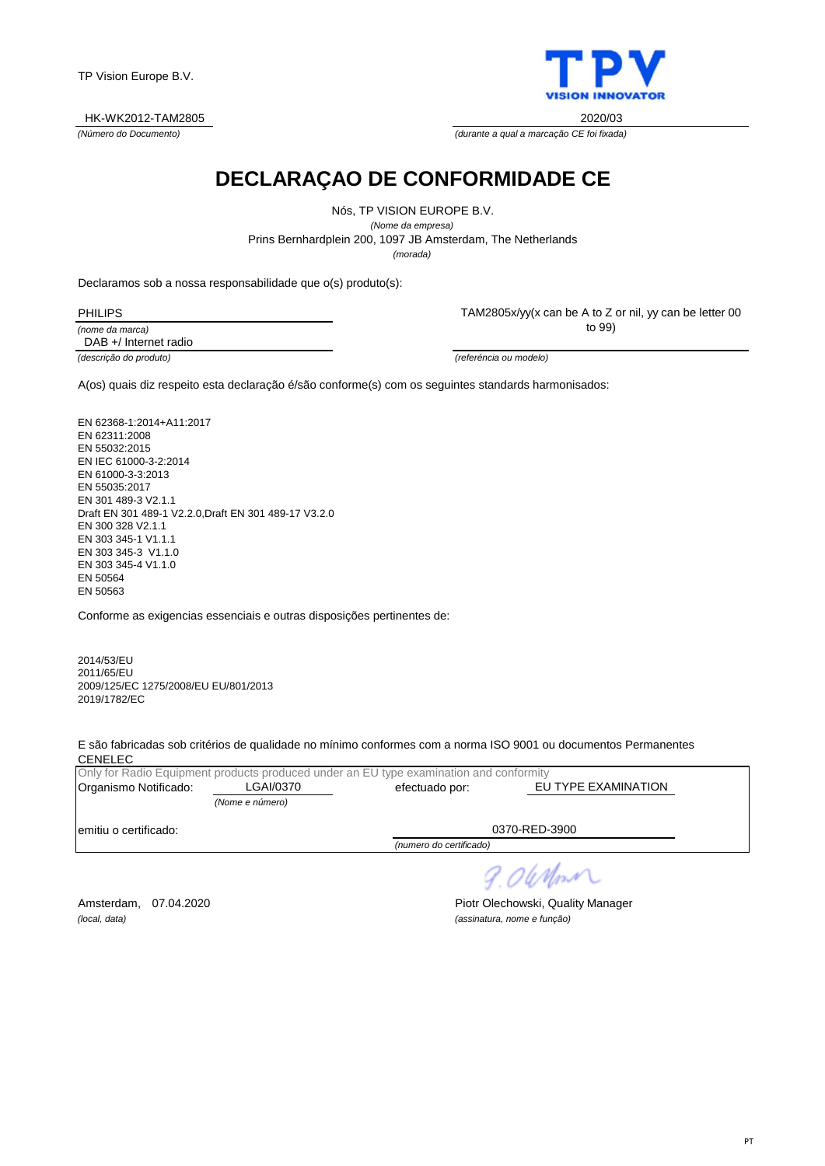#### HK-WK2012-TAM2805 2020/03

*(Número do Documento) (durante a qual a marcação CE foi fixada)*

**DECLARAÇAO DE CONFORMIDADE CE**

Nós, TP VISION EUROPE B.V. *(Nome da empresa)* Prins Bernhardplein 200, 1097 JB Amsterdam, The Netherlands *(morada)*

Declaramos sob a nossa responsabilidade que o(s) produto(s):

*(nome da marca)* PHILIPS DAB +/ Internet radio TAM2805x/yy(x can be A to Z or nil, yy can be letter 00 to 99)

*(descrição do produto) (referéncia ou modelo)*

A(os) quais diz respeito esta declaração é/são conforme(s) com os seguintes standards harmonisados:

EN 62368-1:2014+A11:2017 EN 62311:2008 EN 55032:2015 EN IEC 61000-3-2:2014 EN 61000-3-3:2013 EN 55035:2017 EN 301 489-3 V2.1.1 Draft EN 301 489-1 V2.2.0,Draft EN 301 489-17 V3.2.0 EN 300 328 V2.1.1 EN 303 345-1 V1.1.1 EN 303 345-3 V1.1.0 EN 303 345-4 V1.1.0 EN 50564 EN 50563

Conforme as exigencias essenciais e outras disposições pertinentes de:

2014/53/EU 2011/65/EU 2009/125/EC 1275/2008/EU EU/801/2013 2019/1782/EC

E são fabricadas sob critérios de qualidade no mínimo conformes com a norma ISO 9001 ou documentos Permanentes **CENELEC** 

|                        |                 | Only for Radio Equipment products produced under an EU type examination and conformity |                     |
|------------------------|-----------------|----------------------------------------------------------------------------------------|---------------------|
| Organismo Notificado:  | LGAI/0370       | efectuado por:                                                                         | EU TYPE EXAMINATION |
|                        | (Nome e número) |                                                                                        |                     |
| lemitiu o certificado: |                 |                                                                                        | 0370-RED-3900       |
|                        |                 | (numero do certificado)                                                                |                     |

*(local, data) (assinatura, nome e função)*

Amsterdam, 07.04.2020 **Piotr Olechowski, Quality Manager** 

9.06 Mont

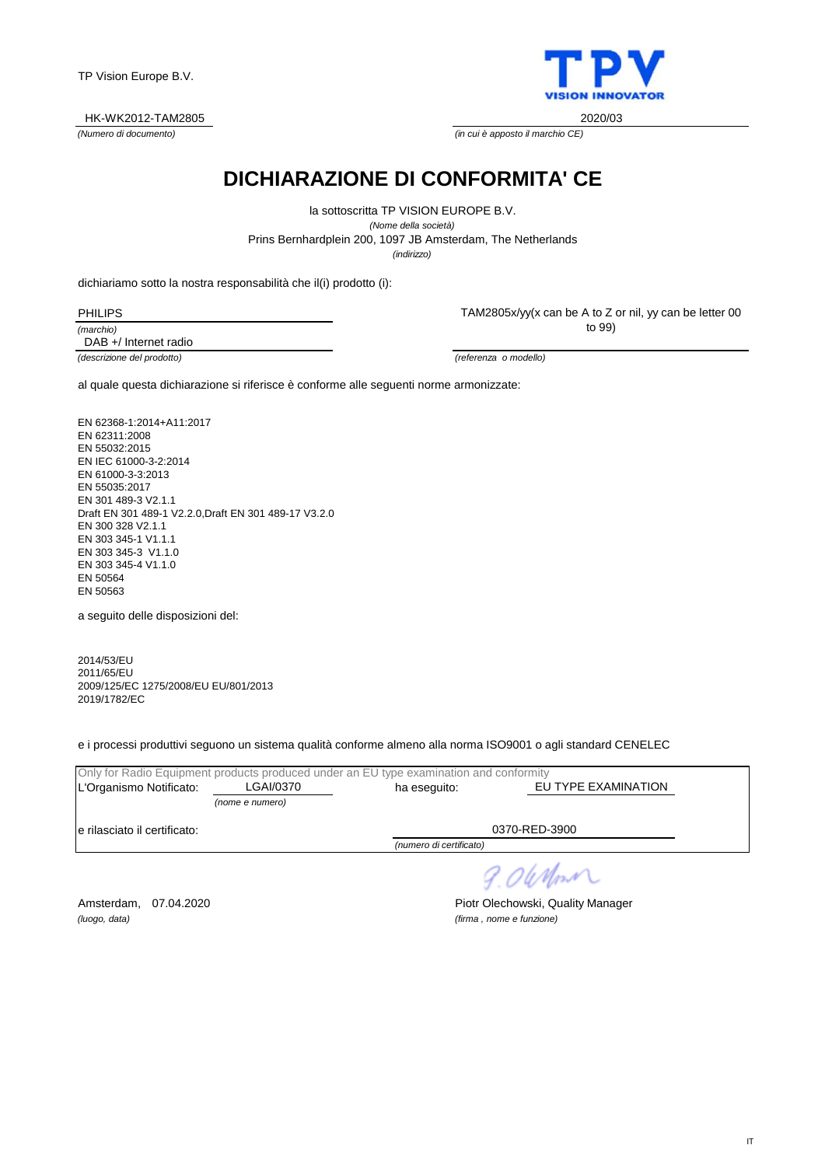IT

TP Vision Europe B.V.

HK-WK2012-TAM2805 2020/03

**DICHIARAZIONE DI CONFORMITA' CE**

Prins Bernhardplein 200, 1097 JB Amsterdam, The Netherlands la sottoscritta TP VISION EUROPE B.V. *(Nome della società) (indirizzo)*

dichiariamo sotto la nostra responsabilità che il(i) prodotto (i):

*(marchio)* PHILIPS DAB +/ Internet radio

*(descrizione del prodotto) (referenza o modello)*

al quale questa dichiarazione si riferisce è conforme alle seguenti norme armonizzate:

EN 62368-1:2014+A11:2017 EN 62311:2008 EN 55032:2015 EN IEC 61000-3-2:2014 EN 61000-3-3:2013 EN 55035:2017 EN 301 489-3 V2.1.1 Draft EN 301 489-1 V2.2.0,Draft EN 301 489-17 V3.2.0 EN 300 328 V2.1.1 EN 303 345-1 V1.1.1 EN 303 345-3 V1.1.0 EN 303 345-4 V1.1.0 EN 50564 EN 50563

a seguito delle disposizioni del:

2014/53/EU 2011/65/EU 2009/125/EC 1275/2008/EU EU/801/2013 2019/1782/EC

e i processi produttivi seguono un sistema qualità conforme almeno alla norma ISO9001 o agli standard CENELEC

| LGAI/0370                     | ha eseguito:            | EU TYPE EXAMINATION                                                                    |
|-------------------------------|-------------------------|----------------------------------------------------------------------------------------|
| (nome e numero)               |                         |                                                                                        |
| le rilasciato il certificato: |                         | 0370-RED-3900                                                                          |
|                               | (numero di certificato) |                                                                                        |
|                               |                         | Only for Radio Equipment products produced under an EU type examination and conformity |

*(luogo, data) (firma , nome e funzione)*

Amsterdam, 07.04.2020 **Piotr Olechowski, Quality Manager** 



TAM2805x/yy(x can be A to Z or nil, yy can be letter 00 to 99)

*(Numero di documento) (in cui è apposto il marchio CE)*

9.06 Nm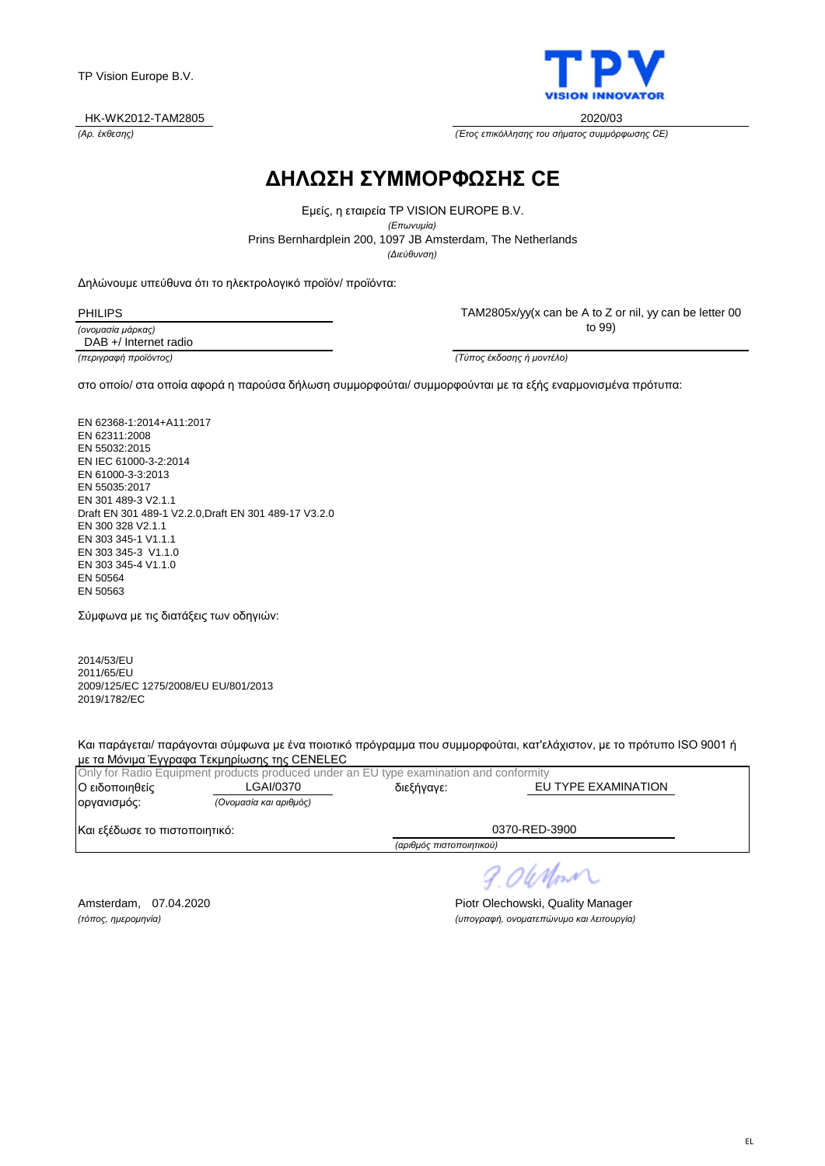

*(Αρ. έκθεσης) (Έτος επικόλλησης του σήματος συμμόρφωσης CE)*

## **ΔΗΛΩΣΗ ΣΥΜΜΟΡΦΩΣΗΣ CE**

Prins Bernhardplein 200, 1097 JB Amsterdam, The Netherlands Εμείς, η εταιρεία TP VISION EUROPE B.V. *(Επωνυμία) (Διεύθυνση)*

Δηλώνουμε υπεύθυνα ότι το ηλεκτρολογικό προϊόν/ προϊόντα:

PHILIPS

*(ονομασία μάρκας)* DAB +/ Internet radio TAM2805x/yy(x can be A to Z or nil, yy can be letter 00 to 99)

*(περιγραφή προϊόντος) (Τύπος έκδοσης ή μοντέλο)*

στο οποίο/ στα οποία αφορά η παρούσα δήλωση συμμορφούται/ συμμορφούνται με τα εξής εναρμονισμένα πρότυπα:

EN 62368-1:2014+A11:2017 EN 62311:2008 EN 55032:2015 EN IEC 61000-3-2:2014 EN 61000-3-3:2013 EN 55035:2017 EN 301 489-3 V2.1.1 Draft EN 301 489-1 V2.2.0,Draft EN 301 489-17 V3.2.0 EN 300 328 V2.1.1 EN 303 345-1 V1.1.1 EN 303 345-3 V1.1.0 EN 303 345-4 V1.1.0 EN 50564 EN 50563

Σύμφωνα με τις διατάξεις των οδηγιών:

2014/53/EU 2011/65/EU 2009/125/EC 1275/2008/EU EU/801/2013 2019/1782/EC

Και παράγεται/ παράγονται σύμφωνα με ένα ποιοτικό πρόγραμμα που συμμορφούται, κατ'ελάχιστον, με το πρότυπο ISO 9001 ή με τα Μόνιμα Έγγραφα Τεκμηρίωσης της CENELEC

|                               | Only for Radio Equipment products produced under an EU type examination and conformity |                          |                     |
|-------------------------------|----------------------------------------------------------------------------------------|--------------------------|---------------------|
| Ο ειδοποιηθείς                | LGAI/0370                                                                              | διεξήγαγε:               | EU TYPE EXAMINATION |
| οργανισμός:                   | (Ονομασία και αριθμός)                                                                 |                          |                     |
| Και εξέδωσε το πιστοποιητικό: |                                                                                        |                          | 0370-RED-3900       |
|                               |                                                                                        | (αριθμός πιστοποιητικού) |                     |

9.06 Nom

Amsterdam, 07.04.2020 **Piotr Olechowski, Quality Manager** *(τόπος, ημερομηνία) (υπογραφή, ονοματεπώνυμο και λειτουργία)*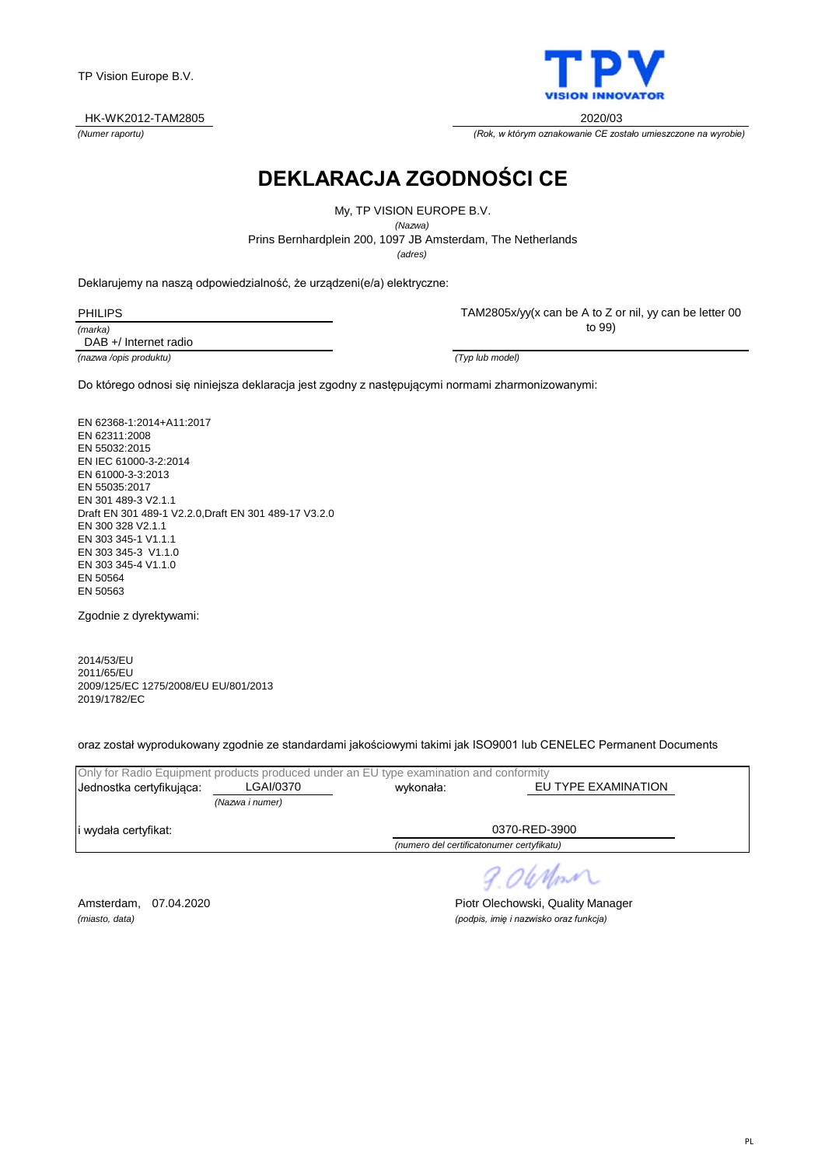

*(Numer raportu) (Rok, w którym oznakowanie CE zostało umieszczone na wyrobie)*

## **DEKLARACJA ZGODNOŚCI CE**

Prins Bernhardplein 200, 1097 JB Amsterdam, The Netherlands My, TP VISION EUROPE B.V. *(Nazwa) (adres)*

Deklarujemy na naszą odpowiedzialność, że urządzeni(e/a) elektryczne:

| HII IF |  |
|--------|--|
| marka) |  |

TAM2805x/yy(x can be A to Z or nil, yy can be letter 00 to 99)

*(nazwa /opis produktu) (Typ lub model)* DAB +/ Internet radio

Do którego odnosi się niniejsza deklaracja jest zgodny z następującymi normami zharmonizowanymi:

EN 62368-1:2014+A11:2017 EN 62311:2008 EN 55032:2015 EN IEC 61000-3-2:2014 EN 61000-3-3:2013 EN 55035:2017 EN 301 489-3 V2.1.1 Draft EN 301 489-1 V2.2.0,Draft EN 301 489-17 V3.2.0 EN 300 328 V2.1.1 EN 303 345-1 V1.1.1 EN 303 345-3 V1.1.0 EN 303 345-4 V1.1.0 EN 50564 EN 50563

Zgodnie z dyrektywami:

2014/53/EU 2011/65/EU 2009/125/EC 1275/2008/EU EU/801/2013 2019/1782/EC

oraz został wyprodukowany zgodnie ze standardami jakościowymi takimi jak ISO9001 lub CENELEC Permanent Documents

| Only for Radio Equipment products produced under an EU type examination and conformity |                 |                                           |                     |  |
|----------------------------------------------------------------------------------------|-----------------|-------------------------------------------|---------------------|--|
| Jednostka certyfikujaca:                                                               | LGAI/0370       | wykonała:                                 | EU TYPE EXAMINATION |  |
|                                                                                        | (Nazwa i numer) |                                           |                     |  |
| li wydała certyfikat:                                                                  |                 |                                           | 0370-RED-3900       |  |
|                                                                                        |                 | (numero del certificatonumer certyfikatu) |                     |  |

9.06 Mon

Amsterdam, 07.04.2020 **Piotr Olechowski, Quality Manager** *(miasto, data) (podpis, imię i nazwisko oraz funkcja)*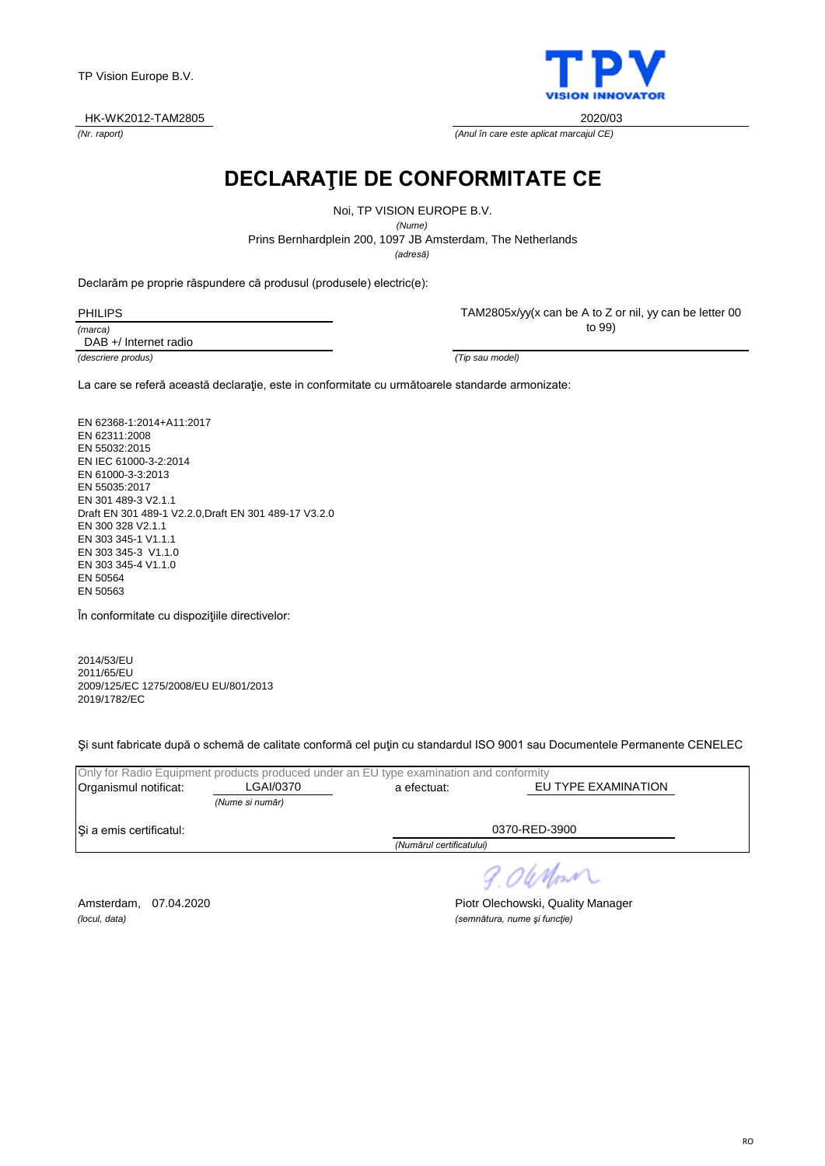#### HK-WK2012-TAM2805 2020/03

**DECLARAŢIE DE CONFORMITATE CE**

Noi, TP VISION EUROPE B.V.

*(Nume)*

Prins Bernhardplein 200, 1097 JB Amsterdam, The Netherlands

*(adresă)*

Declarăm pe proprie răspundere că produsul (produsele) electric(e):

| <b>PHILIPS</b> |  |
|----------------|--|
| (marca)        |  |

DAB +/ Internet radio

TAM2805x/yy(x can be A to Z or nil, yy can be letter 00 to 99)

*(descriere produs) (Tip sau model)*

La care se referă această declaraţie, este in conformitate cu următoarele standarde armonizate:

EN 62368-1:2014+A11:2017 EN 62311:2008 EN 55032:2015 EN IEC 61000-3-2:2014 EN 61000-3-3:2013 EN 55035:2017 EN 301 489-3 V2.1.1 Draft EN 301 489-1 V2.2.0,Draft EN 301 489-17 V3.2.0 EN 300 328 V2.1.1 EN 303 345-1 V1.1.1 EN 303 345-3 V1.1.0 EN 303 345-4 V1.1.0 EN 50564 EN 50563

În conformitate cu dispoziţiile directivelor:

2014/53/EU 2011/65/EU 2009/125/EC 1275/2008/EU EU/801/2013 2019/1782/EC

Şi sunt fabricate după o schemă de calitate conformă cel puţin cu standardul ISO 9001 sau Documentele Permanente CENELEC

|                                          |                 | Only for Radio Equipment products produced under an EU type examination and conformity |                     |
|------------------------------------------|-----------------|----------------------------------------------------------------------------------------|---------------------|
| Organismul notificat:                    | LGAI/0370       | a efectuat:                                                                            | EU TYPE EXAMINATION |
|                                          | (Nume si număr) |                                                                                        |                     |
| Si a emis certificatul:<br>0370-RED-3900 |                 |                                                                                        |                     |
|                                          |                 | (Numărul certificatului)                                                               |                     |
|                                          |                 |                                                                                        |                     |

*(locul, data) (semnătura, nume şi funcţie)*

Amsterdam, 07.04.2020 **Piotr Olechowski, Quality Manager** 

9.06 Nm



*(Nr. raport) (Anul în care este aplicat marcajul CE)*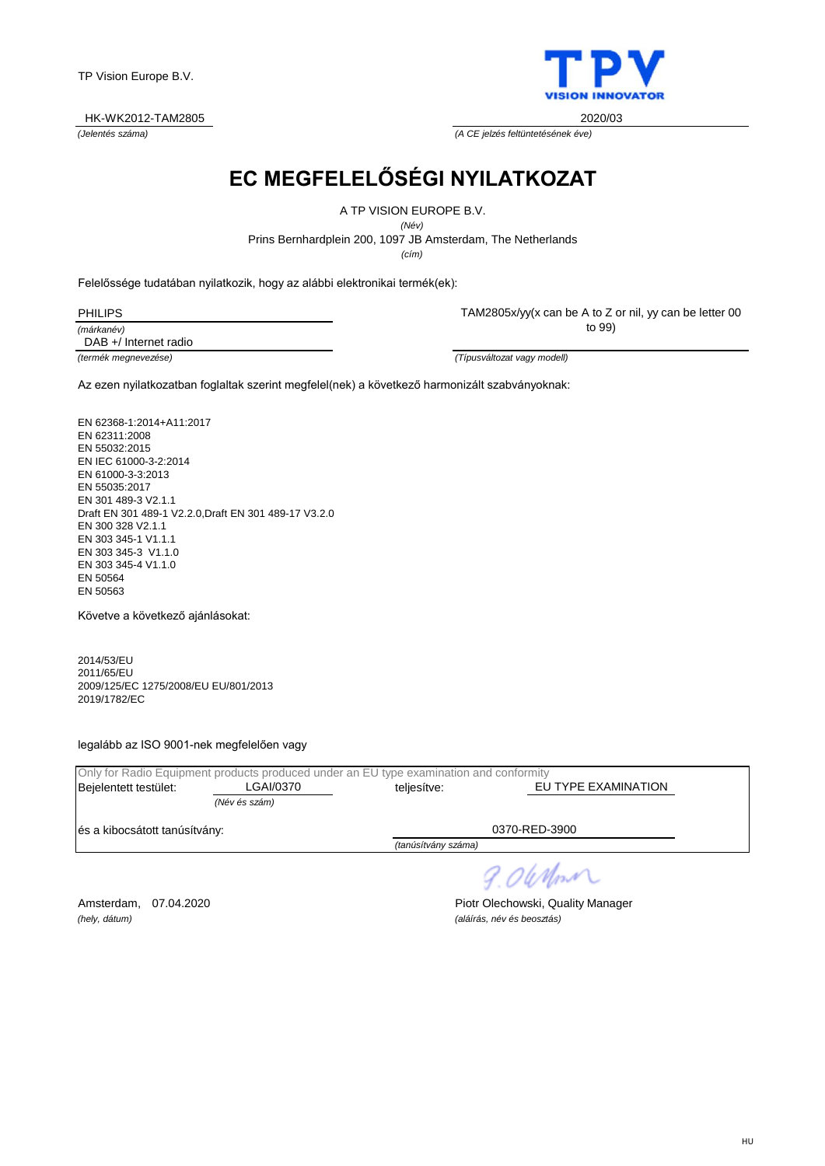### HK-WK2012-TAM2805 2020/03

*(Jelentés száma) (A CE jelzés feltüntetésének éve)*

# **EC MEGFELELŐSÉGI NYILATKOZAT**

A TP VISION EUROPE B.V.

*(Név)*

Prins Bernhardplein 200, 1097 JB Amsterdam, The Netherlands

*(cím)*

Felelőssége tudatában nyilatkozik, hogy az alábbi elektronikai termék(ek):

| PHII IPS   |  |
|------------|--|
| (márkanév) |  |

TAM2805x/yy(x can be A to Z or nil, yy can be letter 00

to 99)

DAB +/ Internet radio

*(termék megnevezése) (Típusváltozat vagy modell)*

Az ezen nyilatkozatban foglaltak szerint megfelel(nek) a következő harmonizált szabványoknak:

EN 62368-1:2014+A11:2017 EN 62311:2008 EN 55032:2015 EN IEC 61000-3-2:2014 EN 61000-3-3:2013 EN 55035:2017 EN 301 489-3 V2.1.1 Draft EN 301 489-1 V2.2.0,Draft EN 301 489-17 V3.2.0 EN 300 328 V2.1.1 EN 303 345-1 V1.1.1 EN 303 345-3 V1.1.0 EN 303 345-4 V1.1.0 EN 50564 EN 50563

Követve a következő ajánlásokat:

2014/53/EU 2011/65/EU 2009/125/EC 1275/2008/EU EU/801/2013 2019/1782/EC

legalább az ISO 9001-nek megfelelően vagy

|                               | Only for Radio Equipment products produced under an EU type examination and conformity |             |                     |  |
|-------------------------------|----------------------------------------------------------------------------------------|-------------|---------------------|--|
| Bejelentett testület:         | LGAI/0370                                                                              | teliesítve: | EU TYPE EXAMINATION |  |
|                               | (Név és szám)                                                                          |             |                     |  |
| és a kibocsátott tanúsítvány: |                                                                                        |             | 0370-RED-3900       |  |
|                               |                                                                                        |             |                     |  |

*(tanúsítvány száma)*

9.06Mm

*(hely, dátum) (aláírás, név és beosztás)*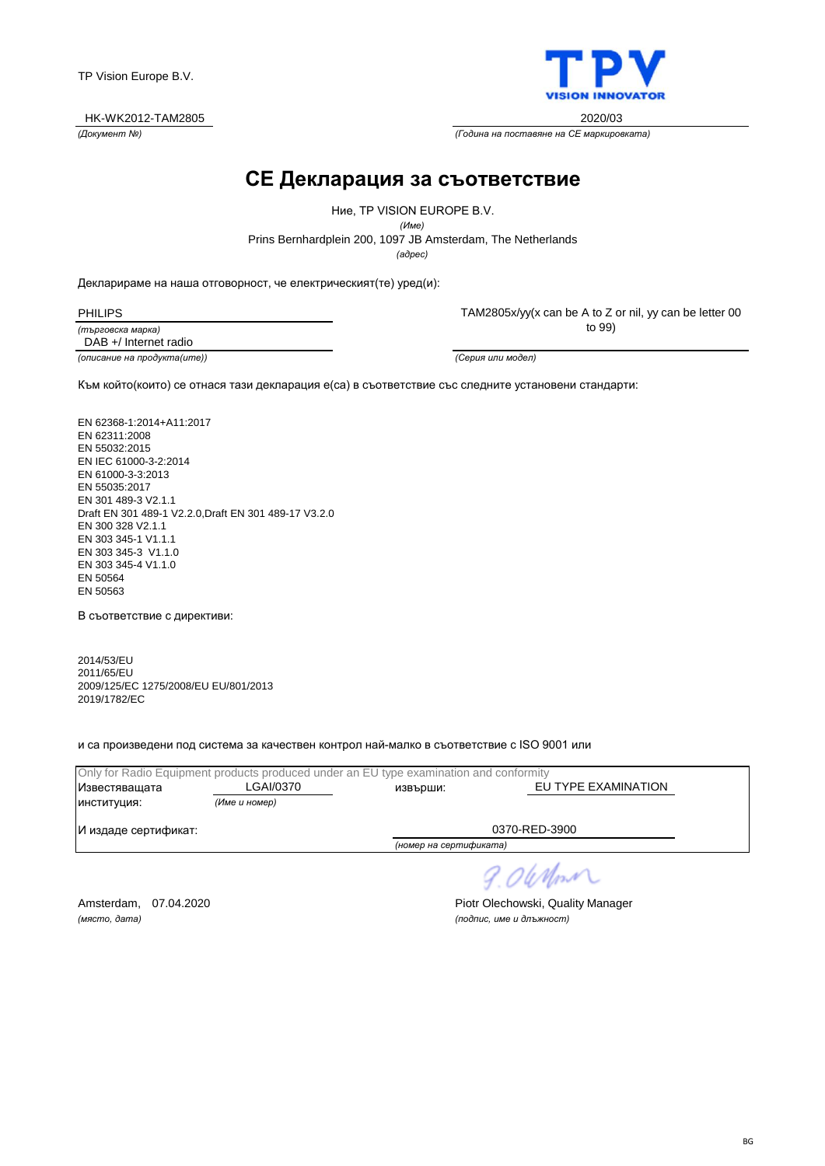

*(Документ №) (Година на поставяне на CE маркировката)*

### **CE Декларация за съответствие**

*(адрес)* Prins Bernhardplein 200, 1097 JB Amsterdam, The Netherlands Ние, TP VISION EUROPE B.V. *(Име)*

Декларираме на наша отговорност, че електрическият(те) уред(и):

PHILIPS

*(търговска марка)*

TAM2805x/yy(x can be A to Z or nil, yy can be letter 00 to 99)

*(описание на продукта(ите)) (Серия или модел)* DAB +/ Internet radio

Към който(които) се отнася тази декларация е(са) в съответствие със следните установени стандарти:

EN 62368-1:2014+A11:2017 EN 62311:2008 EN 55032:2015 EN IEC 61000-3-2:2014 EN 61000-3-3:2013 EN 55035:2017 EN 301 489-3 V2.1.1 Draft EN 301 489-1 V2.2.0,Draft EN 301 489-17 V3.2.0 EN 300 328 V2.1.1 EN 303 345-1 V1.1.1 EN 303 345-3 V1.1.0 EN 303 345-4 V1.1.0 EN 50564 EN 50563

В съответствие с директиви:

2014/53/EU 2011/65/EU 2009/125/EC 1275/2008/EU EU/801/2013 2019/1782/EC

и са произведени под система за качествен контрол най-малко в съответствие с ISO 9001 или

|                      |               | Only for Radio Equipment products produced under an EU type examination and conformity |                     |
|----------------------|---------------|----------------------------------------------------------------------------------------|---------------------|
| Известяващата        | LGAI/0370     | извърши:                                                                               | EU TYPE EXAMINATION |
| ИНСТИТУЦИЯ:          | (Име и номер) |                                                                                        |                     |
| И издаде сертификат: |               | 0370-RED-3900                                                                          |                     |
|                      |               | (номер на сертификата)                                                                 |                     |

9.06 Nm

*(място, дата) (подпис, име и длъжност)*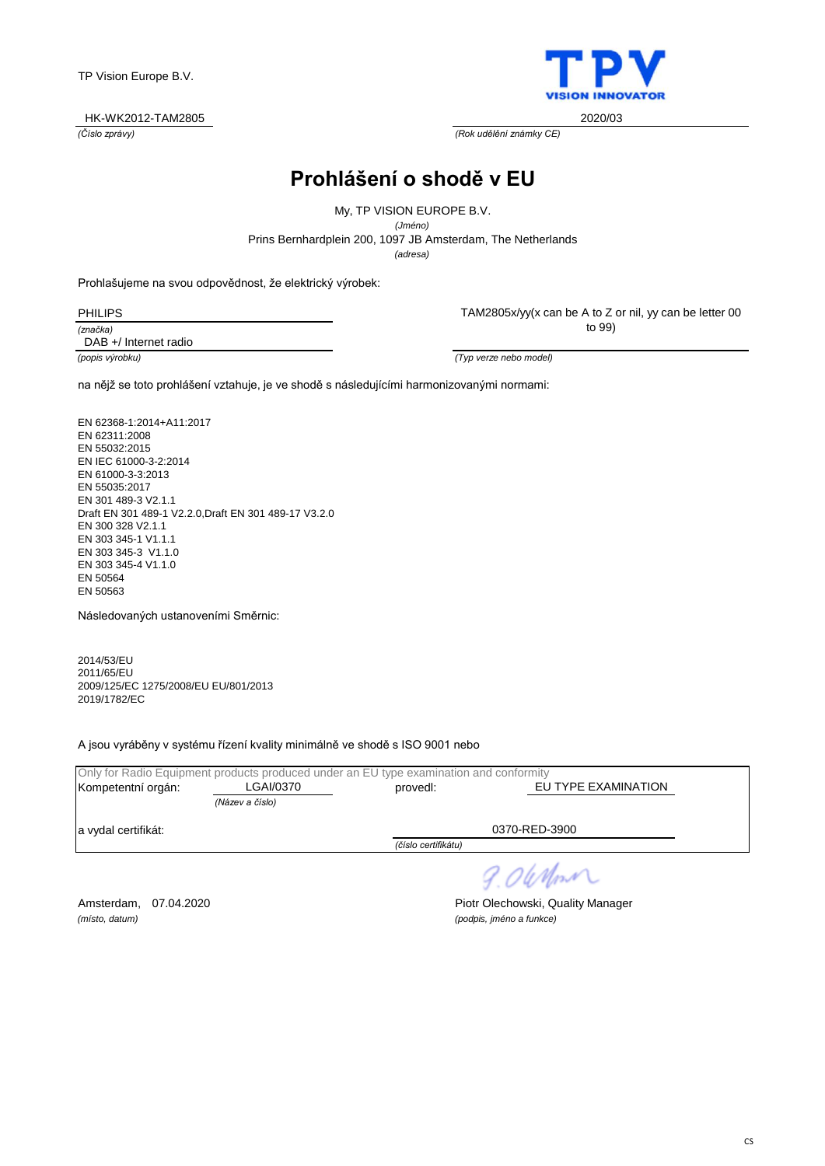### HK-WK2012-TAM2805 2020/03

*(Číslo zprávy) (Rok udělění známky CE)*

## **Prohlášení o shodě v EU**

My, TP VISION EUROPE B.V. *(Jméno)*

Prins Bernhardplein 200, 1097 JB Amsterdam, The Netherlands

*(adresa)*

Prohlašujeme na svou odpovědnost, že elektrický výrobek:

*(značka)* PHILIPS

DAB +/ Internet radio

TAM2805x/yy(x can be A to Z or nil, yy can be letter 00 to 99)

*(popis výrobku) (Typ verze nebo model)*

na nějž se toto prohlášení vztahuje, je ve shodě s následujícími harmonizovanými normami:

EN 62368-1:2014+A11:2017 EN 62311:2008 EN 55032:2015 EN IEC 61000-3-2:2014 EN 61000-3-3:2013 EN 55035:2017 EN 301 489-3 V2.1.1 Draft EN 301 489-1 V2.2.0,Draft EN 301 489-17 V3.2.0 EN 300 328 V2.1.1 EN 303 345-1 V1.1.1 EN 303 345-3 V1.1.0 EN 303 345-4 V1.1.0 EN 50564 EN 50563

Následovaných ustanoveními Směrnic:

2014/53/EU 2011/65/EU 2009/125/EC 1275/2008/EU EU/801/2013 2019/1782/EC

A jsou vyráběny v systému řízení kvality minimálně ve shodě s ISO 9001 nebo

|                     | Only for Radio Equipment products produced under an EU type examination and conformity |                     |                     |
|---------------------|----------------------------------------------------------------------------------------|---------------------|---------------------|
| Kompetentní orgán:  | LGAI/0370                                                                              | provedl:            | EU TYPE EXAMINATION |
|                     | (Název a číslo)                                                                        |                     |                     |
| a vydal certifikát: |                                                                                        |                     | 0370-RED-3900       |
|                     |                                                                                        | (číslo certifikátu) |                     |
|                     |                                                                                        |                     |                     |

*(místo, datum) (podpis, jméno a funkce)*

Amsterdam, 07.04.2020 **Piotr Olechowski, Quality Manager** 

9.06 Nm

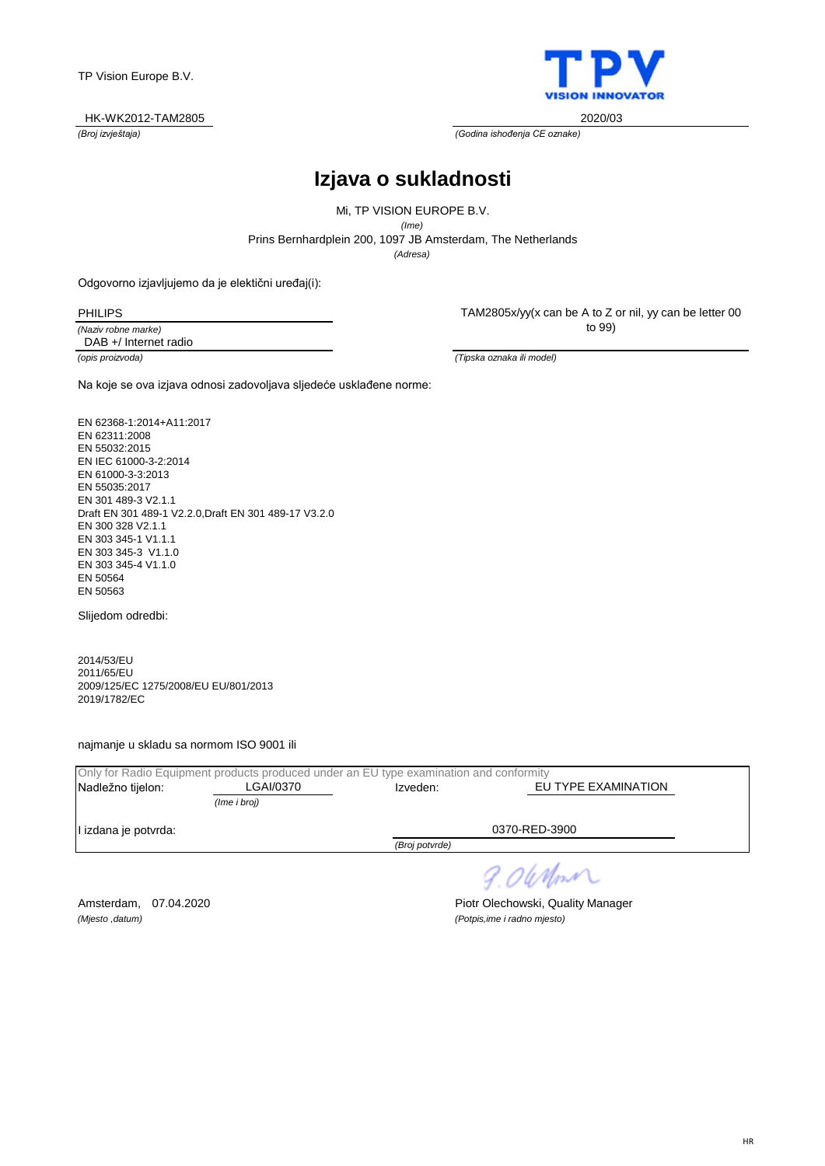

*(Broj izvještaja) (Godina ishođenja CE oznake)*

# **Izjava o sukladnosti**

*(Adresa)* Prins Bernhardplein 200, 1097 JB Amsterdam, The Netherlands Mi, TP VISION EUROPE B.V. *(Ime)*

Odgovorno izjavljujemo da je elektični uređaj(i):

PHILIPS

*(Naziv robne marke)* DAB +/ Internet radio TAM2805x/yy(x can be A to Z or nil, yy can be letter 00 to 99)

*(opis proizvoda) (Tipska oznaka ili model)*

Na koje se ova izjava odnosi zadovoljava sljedeće usklađene norme:

EN 62368-1:2014+A11:2017 EN 62311:2008 EN 55032:2015 EN IEC 61000-3-2:2014 EN 61000-3-3:2013 EN 55035:2017 EN 301 489-3 V2.1.1 Draft EN 301 489-1 V2.2.0,Draft EN 301 489-17 V3.2.0 EN 300 328 V2.1.1 EN 303 345-1 V1.1.1 EN 303 345-3 V1.1.0 EN 303 345-4 V1.1.0 EN 50564 EN 50563

Slijedom odredbi:

2014/53/EU 2011/65/EU 2009/125/EC 1275/2008/EU EU/801/2013 2019/1782/EC

najmanje u skladu sa normom ISO 9001 ili

| Only for Radio Equipment products produced under an EU type examination and conformity |              |                |                     |  |
|----------------------------------------------------------------------------------------|--------------|----------------|---------------------|--|
| Nadležno tijelon:                                                                      | LGAI/0370    | Izveden:       | EU TYPE EXAMINATION |  |
|                                                                                        | (Ime i broj) |                |                     |  |
| l izdana je potvrda:                                                                   |              |                | 0370-RED-3900       |  |
|                                                                                        |              | (Broj potvrde) |                     |  |

9.06 Nm

*(Mjesto ,datum) (Potpis,ime i radno mjesto)*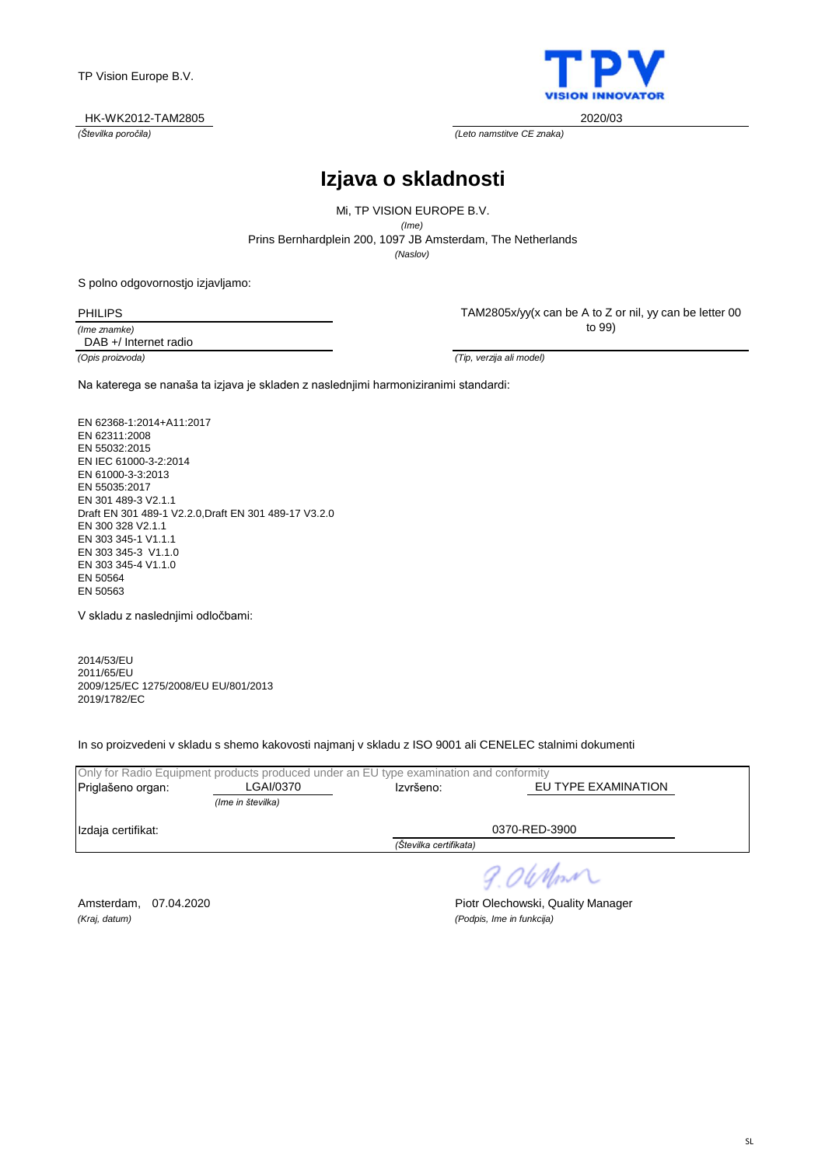### HK-WK2012-TAM2805 2020/03



*(Številka poročila) (Leto namstitve CE znaka)*

# **Izjava o skladnosti**

*(Naslov)* Prins Bernhardplein 200, 1097 JB Amsterdam, The Netherlands Mi, TP VISION EUROPE B.V. *(Ime)*

S polno odgovornostjo izjavljamo:

PHILIPS

*(Ime znamke)* DAB +/ Internet radio TAM2805x/yy(x can be A to Z or nil, yy can be letter 00 to 99)

*(Opis proizvoda) (Tip, verzija ali model)*

Na katerega se nanaša ta izjava je skladen z naslednjimi harmoniziranimi standardi:

EN 62368-1:2014+A11:2017 EN 62311:2008 EN 55032:2015 EN IEC 61000-3-2:2014 EN 61000-3-3:2013 EN 55035:2017 EN 301 489-3 V2.1.1 Draft EN 301 489-1 V2.2.0,Draft EN 301 489-17 V3.2.0 EN 300 328 V2.1.1 EN 303 345-1 V1.1.1 EN 303 345-3 V1.1.0 EN 303 345-4 V1.1.0 EN 50564 EN 50563

V skladu z naslednjimi odločbami:

2014/53/EU 2011/65/EU 2009/125/EC 1275/2008/EU EU/801/2013 2019/1782/EC

In so proizvedeni v skladu s shemo kakovosti najmanj v skladu z ISO 9001 ali CENELEC stalnimi dokumenti

| Only for Radio Equipment products produced under an EU type examination and conformity |                   |                        |                     |
|----------------------------------------------------------------------------------------|-------------------|------------------------|---------------------|
| Priglašeno organ:                                                                      | LGAI/0370         | Izvršeno:              | EU TYPE EXAMINATION |
|                                                                                        | (Ime in številka) |                        |                     |
| 0370-RED-3900<br>Izdaja certifikat:                                                    |                   |                        |                     |
|                                                                                        |                   | (Številka certifikata) |                     |
|                                                                                        |                   |                        |                     |

9.06 Nm

*(Kraj, datum) (Podpis, Ime in funkcija)*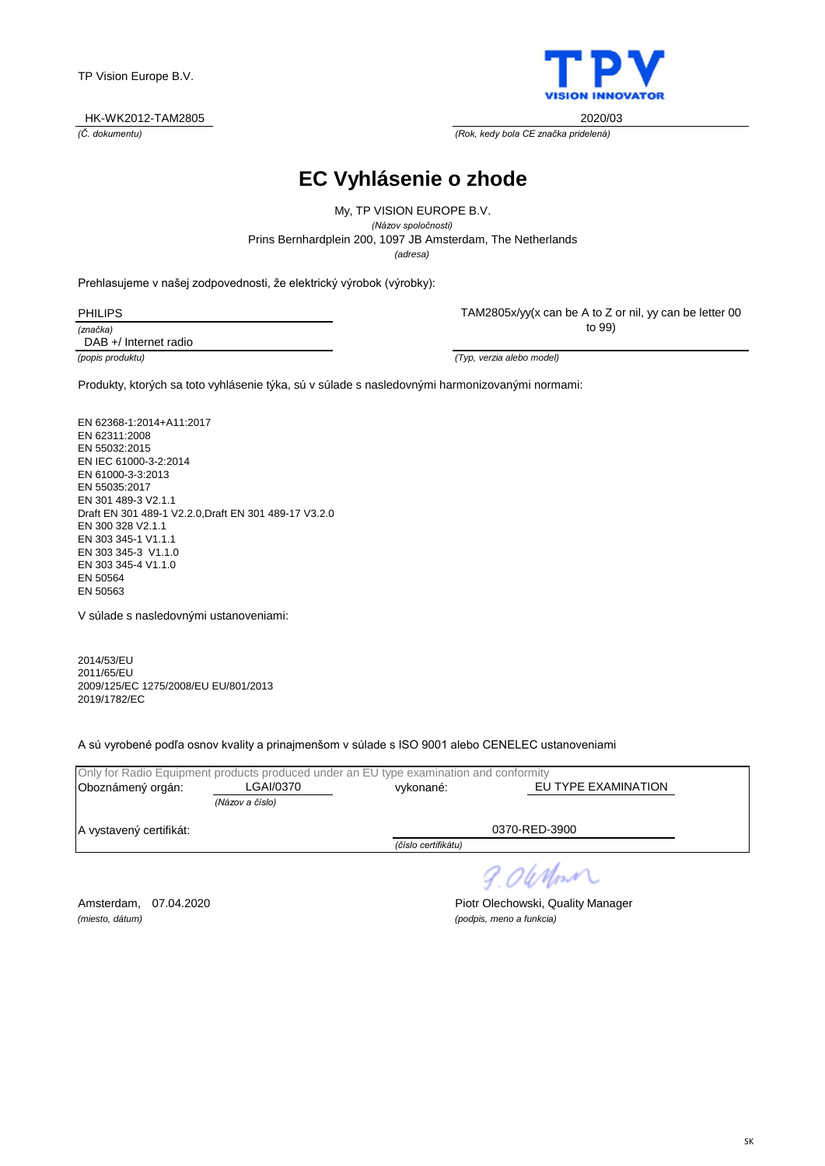

*(Č. dokumentu) (Rok, kedy bola CE značka pridelená)*

**EC Vyhlásenie o zhode**

*(adresa)* Prins Bernhardplein 200, 1097 JB Amsterdam, The Netherlands My, TP VISION EUROPE B.V. *(Názov spoločnosti)*

Prehlasujeme v našej zodpovednosti, že elektrický výrobok (výrobky):

| <b>PHILIPS</b> |  |  |
|----------------|--|--|
| (značka)       |  |  |
| - - -          |  |  |

DAB +/ Internet radio

TAM2805x/yy(x can be A to Z or nil, yy can be letter 00 to 99)

*(popis produktu) (Typ, verzia alebo model)*

Produkty, ktorých sa toto vyhlásenie týka, sú v súlade s nasledovnými harmonizovanými normami:

EN 62368-1:2014+A11:2017 EN 62311:2008 EN 55032:2015 EN IEC 61000-3-2:2014 EN 61000-3-3:2013 EN 55035:2017 EN 301 489-3 V2.1.1 Draft EN 301 489-1 V2.2.0,Draft EN 301 489-17 V3.2.0 EN 300 328 V2.1.1 EN 303 345-1 V1.1.1 EN 303 345-3 V1.1.0 EN 303 345-4 V1.1.0 EN 50564 EN 50563

V súlade s nasledovnými ustanoveniami:

2014/53/EU 2011/65/EU 2009/125/EC 1275/2008/EU EU/801/2013 2019/1782/EC

A sú vyrobené podľa osnov kvality a prinajmenšom v súlade s ISO 9001 alebo CENELEC ustanoveniami

|                         |                 | Only for Radio Equipment products produced under an EU type examination and conformity |                     |  |
|-------------------------|-----------------|----------------------------------------------------------------------------------------|---------------------|--|
| Oboznámený orgán:       | LGAI/0370       | vvkonané:                                                                              | EU TYPE EXAMINATION |  |
|                         | (Názov a číslo) |                                                                                        |                     |  |
| A vystavený certifikát: |                 | 0370-RED-3900                                                                          |                     |  |
|                         |                 | (číslo certifikátu)                                                                    |                     |  |
|                         |                 |                                                                                        |                     |  |

9.06 Nm

*(miesto, dátum) (podpis, meno a funkcia)*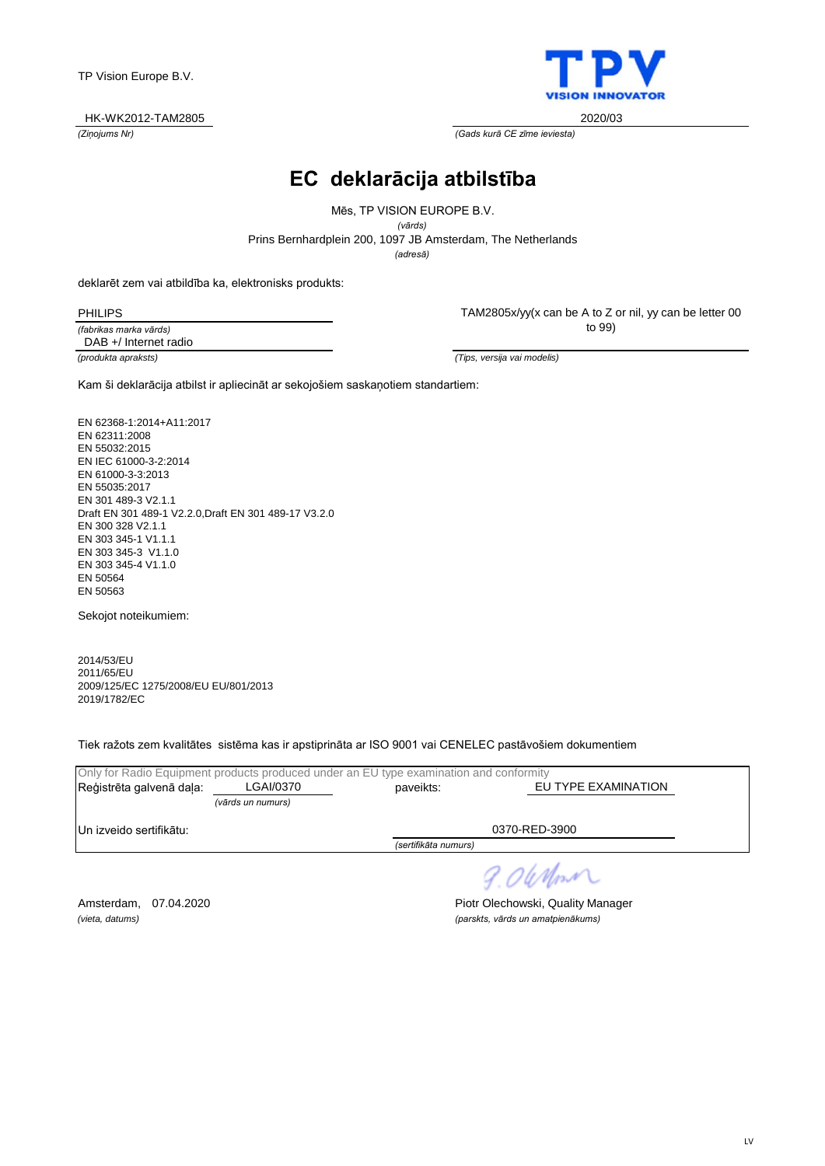

*(Ziņojums Nr) (Gads kurā CE zīme ieviesta)*

# **EC deklarācija atbilstība**

Prins Bernhardplein 200, 1097 JB Amsterdam, The Netherlands Mēs, TP VISION EUROPE B.V. *(vārds)*

*(adresă)*

deklarēt zem vai atbildība ka, elektronisks produkts:

PHILIPS

*(fabrikas marka vārds) (produkta apraksts) (Tips, versija vai modelis)* DAB +/ Internet radio

TAM2805x/yy(x can be A to Z or nil, yy can be letter 00 to 99)

Kam ši deklarācija atbilst ir apliecināt ar sekojošiem saskaņotiem standartiem:

EN 62368-1:2014+A11:2017 EN 62311:2008 EN 55032:2015 EN IEC 61000-3-2:2014 EN 61000-3-3:2013 EN 55035:2017 EN 301 489-3 V2.1.1 Draft EN 301 489-1 V2.2.0,Draft EN 301 489-17 V3.2.0 EN 300 328 V2.1.1 EN 303 345-1 V1.1.1 EN 303 345-3 V1.1.0 EN 303 345-4 V1.1.0 EN 50564 EN 50563

Sekojot noteikumiem:

2014/53/EU 2011/65/EU 2009/125/EC 1275/2008/EU EU/801/2013 2019/1782/EC

Tiek ražots zem kvalitātes sistēma kas ir apstiprināta ar ISO 9001 vai CENELEC pastāvošiem dokumentiem

| Only for Radio Equipment products produced under an EU type examination and conformity |                   |                                  |  |
|----------------------------------------------------------------------------------------|-------------------|----------------------------------|--|
| Reģistrēta galvenā daļa:                                                               | LGAI/0370         | EU TYPE EXAMINATION<br>paveikts: |  |
|                                                                                        | (vārds un numurs) |                                  |  |
| Un izveido sertifikātu:                                                                |                   | 0370-RED-3900                    |  |
|                                                                                        |                   | (sertifikāta numurs)             |  |
|                                                                                        |                   |                                  |  |

9.06 Nm

Amsterdam, 07.04.2020 **Piotr Olechowski, Quality Manager** *(vieta, datums) (parskts, vārds un amatpienākums)*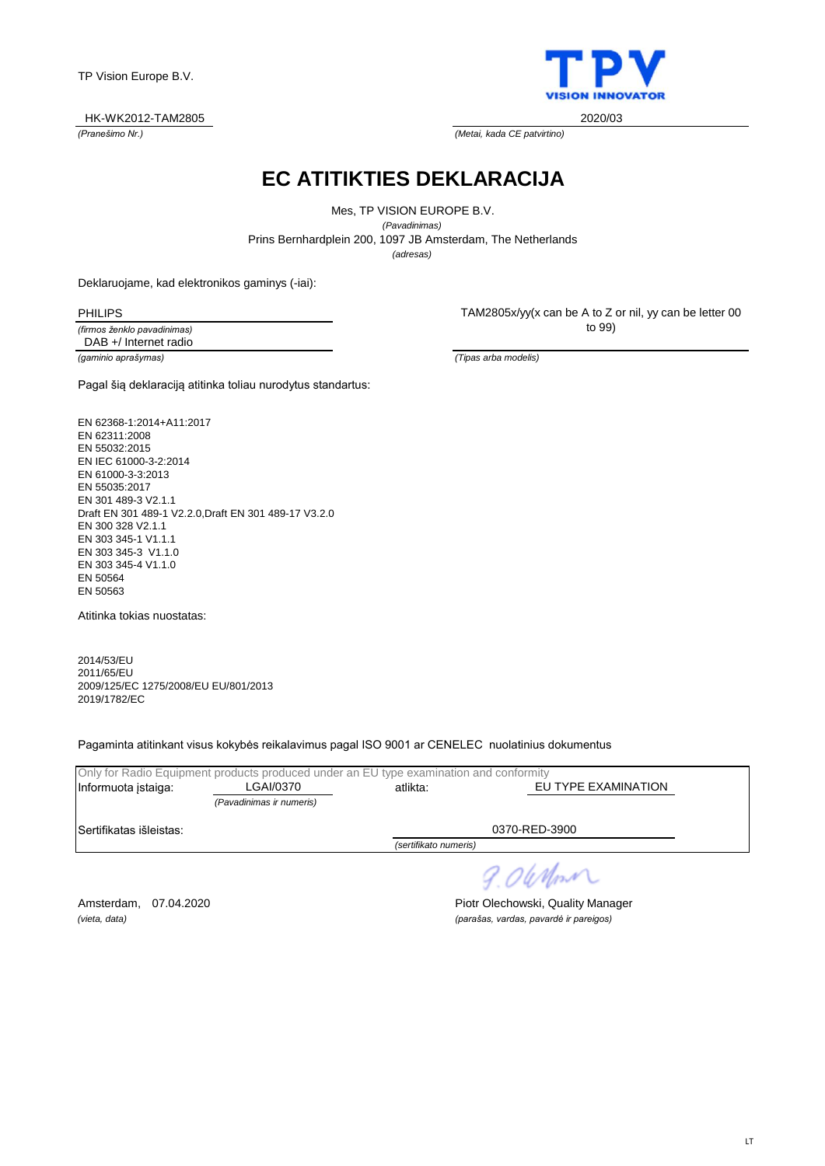LT

TP Vision Europe B.V.

#### *(Pranešimo Nr.) (Metai, kada CE patvirtino)* HK-WK2012-TAM2805 2020/03

**EC ATITIKTIES DEKLARACIJA**

*(adresas)* Prins Bernhardplein 200, 1097 JB Amsterdam, The Netherlands Mes, TP VISION EUROPE B.V. *(Pavadinimas)*

Deklaruojame, kad elektronikos gaminys (-iai):

PHILIPS

*(firmos ženklo pavadinimas) (gaminio aprašymas) (Tipas arba modelis)* DAB +/ Internet radio

Pagal šią deklaraciją atitinka toliau nurodytus standartus:

EN 62368-1:2014+A11:2017 EN 62311:2008 EN 55032:2015 EN IEC 61000-3-2:2014 EN 61000-3-3:2013 EN 55035:2017 EN 301 489-3 V2.1.1 Draft EN 301 489-1 V2.2.0,Draft EN 301 489-17 V3.2.0 EN 300 328 V2.1.1 EN 303 345-1 V1.1.1 EN 303 345-3 V1.1.0 EN 303 345-4 V1.1.0 EN 50564 EN 50563

Atitinka tokias nuostatas:

2014/53/EU 2011/65/EU 2009/125/EC 1275/2008/EU EU/801/2013 2019/1782/EC

Pagaminta atitinkant visus kokybės reikalavimus pagal ISO 9001 ar CENELEC nuolatinius dokumentus

|                         | Only for Radio Equipment products produced under an EU type examination and conformity |                       |                     |
|-------------------------|----------------------------------------------------------------------------------------|-----------------------|---------------------|
| Informuota istaiga:     | LGAI/0370                                                                              | atlikta:              | EU TYPE EXAMINATION |
|                         | (Pavadinimas ir numeris)                                                               |                       |                     |
| Sertifikatas išleistas: |                                                                                        | 0370-RED-3900         |                     |
|                         |                                                                                        | (sertifikato numeris) |                     |
|                         |                                                                                        |                       |                     |

*(vieta, data) (parašas, vardas, pavardė ir pareigos)*

Amsterdam, 07.04.2020 **Piotr Olechowski, Quality Manager** 

TAM2805x/yy(x can be A to Z or nil, yy can be letter 00 to 99)



9.06 Nm